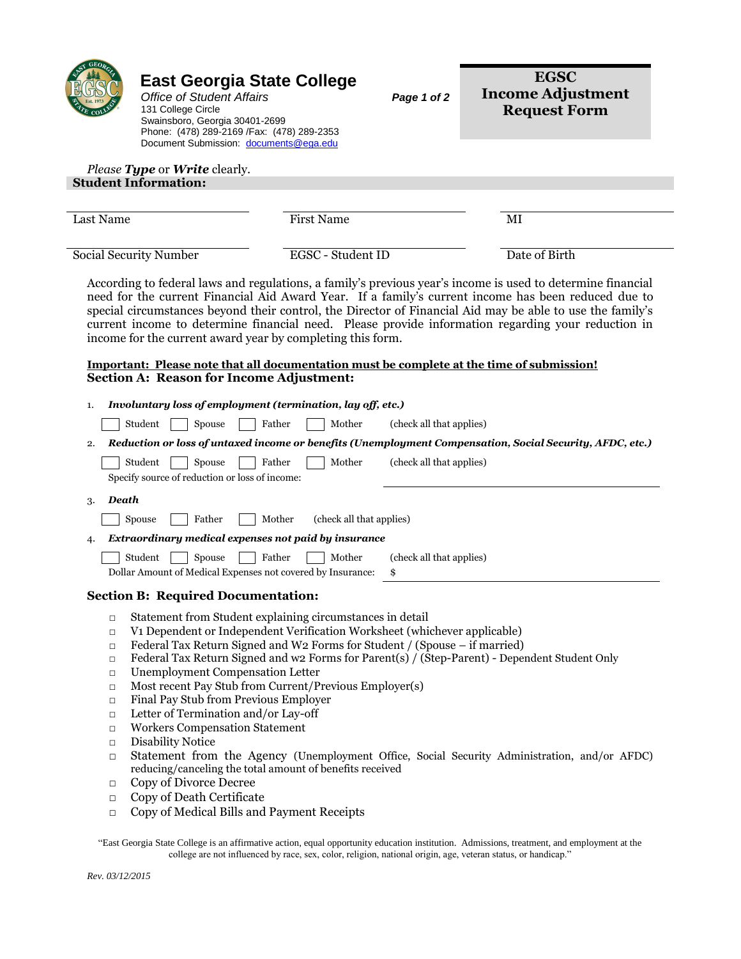|                                                                                                            | <b>East Georgia State College</b><br><b>Office of Student Affairs</b><br>131 College Circle<br>Swainsboro, Georgia 30401-2699<br>Phone: (478) 289-2169 / Fax: (478) 289-2353<br>Document Submission: documents@ega.edu                                                                                                                                                                                                                                                                                                                      |                                    | Page 1 of 2                    | <b>EGSC</b><br><b>Income Adjustment</b><br><b>Request Form</b>                                                                                                                                                                                                                                                                                                                                                                        |
|------------------------------------------------------------------------------------------------------------|---------------------------------------------------------------------------------------------------------------------------------------------------------------------------------------------------------------------------------------------------------------------------------------------------------------------------------------------------------------------------------------------------------------------------------------------------------------------------------------------------------------------------------------------|------------------------------------|--------------------------------|---------------------------------------------------------------------------------------------------------------------------------------------------------------------------------------------------------------------------------------------------------------------------------------------------------------------------------------------------------------------------------------------------------------------------------------|
|                                                                                                            | Please Type or Write clearly.<br><b>Student Information:</b>                                                                                                                                                                                                                                                                                                                                                                                                                                                                                |                                    |                                |                                                                                                                                                                                                                                                                                                                                                                                                                                       |
| Last Name                                                                                                  |                                                                                                                                                                                                                                                                                                                                                                                                                                                                                                                                             | <b>First Name</b>                  |                                | MI                                                                                                                                                                                                                                                                                                                                                                                                                                    |
|                                                                                                            | Social Security Number                                                                                                                                                                                                                                                                                                                                                                                                                                                                                                                      | EGSC - Student ID                  |                                | Date of Birth                                                                                                                                                                                                                                                                                                                                                                                                                         |
|                                                                                                            | income for the current award year by completing this form.                                                                                                                                                                                                                                                                                                                                                                                                                                                                                  |                                    |                                | According to federal laws and regulations, a family's previous year's income is used to determine financial<br>need for the current Financial Aid Award Year. If a family's current income has been reduced due to<br>special circumstances beyond their control, the Director of Financial Aid may be able to use the family's<br>current income to determine financial need. Please provide information regarding your reduction in |
|                                                                                                            | <b>Section A: Reason for Income Adjustment:</b>                                                                                                                                                                                                                                                                                                                                                                                                                                                                                             |                                    |                                | <u>Important: Please note that all documentation must be complete at the time of submission!</u>                                                                                                                                                                                                                                                                                                                                      |
| 1.                                                                                                         | Involuntary loss of employment (termination, lay off, etc.)                                                                                                                                                                                                                                                                                                                                                                                                                                                                                 |                                    |                                |                                                                                                                                                                                                                                                                                                                                                                                                                                       |
|                                                                                                            | Student<br>Spouse                                                                                                                                                                                                                                                                                                                                                                                                                                                                                                                           | Father<br>Mother                   | (check all that applies)       |                                                                                                                                                                                                                                                                                                                                                                                                                                       |
| 2.                                                                                                         |                                                                                                                                                                                                                                                                                                                                                                                                                                                                                                                                             |                                    |                                | Reduction or loss of untaxed income or benefits (Unemployment Compensation, Social Security, AFDC, etc.)                                                                                                                                                                                                                                                                                                                              |
|                                                                                                            | Student<br>Spouse<br>Specify source of reduction or loss of income:                                                                                                                                                                                                                                                                                                                                                                                                                                                                         | Father<br>Mother                   | (check all that applies)       |                                                                                                                                                                                                                                                                                                                                                                                                                                       |
| Death<br>3.                                                                                                |                                                                                                                                                                                                                                                                                                                                                                                                                                                                                                                                             |                                    |                                |                                                                                                                                                                                                                                                                                                                                                                                                                                       |
|                                                                                                            | Spouse<br>Father                                                                                                                                                                                                                                                                                                                                                                                                                                                                                                                            | Mother<br>(check all that applies) |                                |                                                                                                                                                                                                                                                                                                                                                                                                                                       |
| 4.                                                                                                         | Extraordinary medical expenses not paid by insurance                                                                                                                                                                                                                                                                                                                                                                                                                                                                                        |                                    |                                |                                                                                                                                                                                                                                                                                                                                                                                                                                       |
|                                                                                                            | Student<br>Spouse<br>Dollar Amount of Medical Expenses not covered by Insurance:                                                                                                                                                                                                                                                                                                                                                                                                                                                            | Father<br>Mother                   | (check all that applies)<br>\$ |                                                                                                                                                                                                                                                                                                                                                                                                                                       |
|                                                                                                            | <b>Section B: Required Documentation:</b>                                                                                                                                                                                                                                                                                                                                                                                                                                                                                                   |                                    |                                |                                                                                                                                                                                                                                                                                                                                                                                                                                       |
| $\Box$<br>$\Box$<br>$\Box$<br>$\Box$<br>$\Box$<br>$\Box$<br>$\Box$<br>$\Box$<br>$\Box$<br>$\Box$<br>$\Box$ | Statement from Student explaining circumstances in detail<br>V1 Dependent or Independent Verification Worksheet (whichever applicable)<br>Federal Tax Return Signed and W2 Forms for Student / (Spouse – if married)<br><b>Unemployment Compensation Letter</b><br>Most recent Pay Stub from Current/Previous Employer(s)<br>Final Pay Stub from Previous Employer<br>Letter of Termination and/or Lay-off<br><b>Workers Compensation Statement</b><br><b>Disability Notice</b><br>reducing/canceling the total amount of benefits received |                                    |                                | Federal Tax Return Signed and w2 Forms for Parent(s) / (Step-Parent) - Dependent Student Only<br>Statement from the Agency (Unemployment Office, Social Security Administration, and/or AFDC)                                                                                                                                                                                                                                         |
| $\Box$<br>$\Box$<br>$\Box$                                                                                 | Copy of Divorce Decree<br>Copy of Death Certificate<br>Copy of Medical Bills and Payment Receipts                                                                                                                                                                                                                                                                                                                                                                                                                                           |                                    |                                |                                                                                                                                                                                                                                                                                                                                                                                                                                       |

"East Georgia State College is an affirmative action, equal opportunity education institution. Admissions, treatment, and employment at the college are not influenced by race, sex, color, religion, national origin, age, veteran status, or handicap."